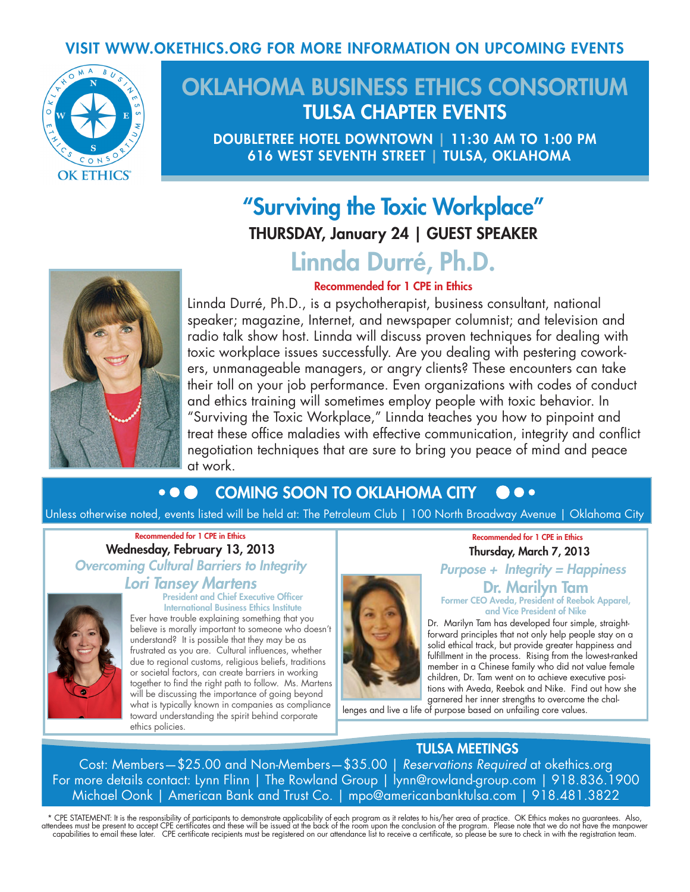### VISIT WWW.OKETHICS.ORG FOR MORE INFORMATION ON UPCOMING EVENTS



# OKLAHOMA BUSINESS ETHICS CONSORTIUM TULSA CHAPTER EVENTS

DOUBLETREE HOTEL DOWNTOWN | 11:30 AM TO 1:00 PM 616 WEST SEVENTH STREET | TULSA, OKLAHOMA

# "Surviving the Toxic Workplace"

THURSDAY, January 24 | GUEST SPEAKER

# Linnda Durré, Ph.D. Recommended for 1 CPE in Ethics



Linnda Durré, Ph.D., is a psychotherapist, business consultant, national speaker; magazine, Internet, and newspaper columnist; and television and radio talk show host. Linnda will discuss proven techniques for dealing with toxic workplace issues successfully. Are you dealing with pestering coworkers, unmanageable managers, or angry clients? These encounters can take their toll on your job performance. Even organizations with codes of conduct and ethics training will sometimes employ people with toxic behavior. In "Surviving the Toxic Workplace," Linnda teaches you how to pinpoint and treat these office maladies with effective communication, integrity and conflict negotiation techniques that are sure to bring you peace of mind and peace at work.

#### $\bullet$   $\bullet$ COMING SOON TO OKLAHOMA CITY **A** .

Unless otherwise noted, events listed will be held at: The Petroleum Club | 100 North Broadway Avenue | Oklahoma City

#### Recommended for 1 CPE in Ethics Wednesday, February 13, 2013 *Overcoming Cultural Barriers to Integrity*

### *Lori Tansey Martens*



#### President and Chief Executive Officer International Business Ethics Institute

Ever have trouble explaining something that you believe is morally important to someone who doesn't understand? It is possible that they may be as frustrated as you are. Cultural influences, whether due to regional customs, religious beliefs, traditions or societal factors, can create barriers in working together to find the right path to follow. Ms. Martens will be discussing the importance of going beyond what is typically known in companies as compliance toward understanding the spirit behind corporate ethics policies.



#### Recommended for 1 CPE in Ethics Thursday, March 7, 2013

*Purpose + Integrity = Happiness* Dr. Marilyn Tam Former CEO Aveda, President of Reebok Apparel,

and Vice President of Nike Dr. Marilyn Tam has developed four simple, straightforward principles that not only help people stay on a solid ethical track, but provide greater happiness and

fulfillment in the process. Rising from the lowest-ranked member in a Chinese family who did not value female children, Dr. Tam went on to achieve executive positions with Aveda, Reebok and Nike. Find out how she garnered her inner strengths to overcome the chal-

lenges and live a life of purpose based on unfailing core values.

## TULSA MEETINGS

Cost: Members—\$25.00 and Non-Members—\$35.00 | *Reservations Required* at okethics.org For more details contact: Lynn Flinn | The Rowland Group | lynn@rowland-group.com | 918.836.1900 Michael Oonk | American Bank and Trust Co. | mpo@americanbanktulsa.com | 918.481.3822

\* CPE STATEMENT: It is the responsibility of participants to demonstrate applicability of each program as it relates to his/her area of practice. OK Ethics makes no guarantees. Also,<br>attendees must be present to accept CPE